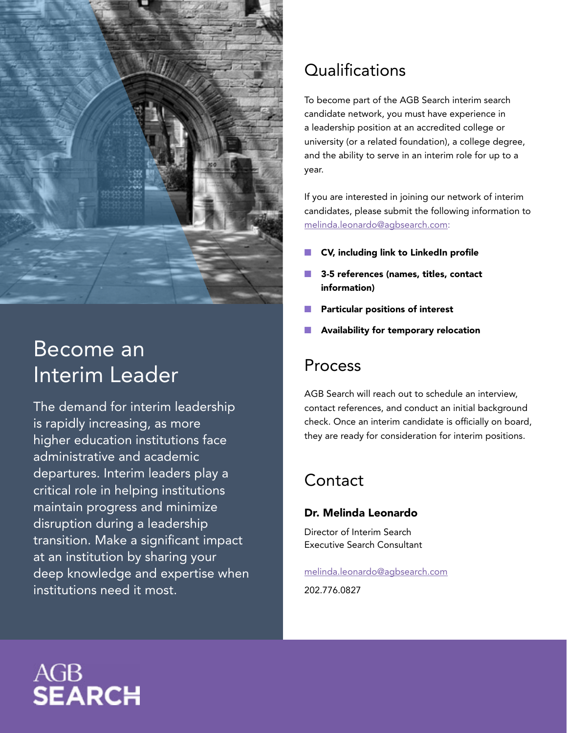

## Become an Interim Leader

The demand for interim leadership is rapidly increasing, as more higher education institutions face administrative and academic departures. Interim leaders play a critical role in helping institutions maintain progress and minimize disruption during a leadership transition. Make a significant impact at an institution by sharing your deep knowledge and expertise when institutions need it most.

## **Qualifications**

To become part of the AGB Search interim search candidate network, you must have experience in a leadership position at an accredited college or university (or a related foundation), a college degree, and the ability to serve in an interim role for up to a year.

If you are interested in joining our network of interim candidates, please submit the following information to [melinda.leonardo@agbsearch.com:](mailto:Melinda.leonardo%40agbsearch.com?subject=)

- CV, including link to LinkedIn profile
- 3-5 references (names, titles, contact information)
- Particular positions of interest
- Availability for temporary relocation

### Process

AGB Search will reach out to schedule an interview, contact references, and conduct an initial background check. Once an interim candidate is officially on board, they are ready for consideration for interim positions.

### Contact

#### Dr. Melinda Leonardo

Director of Interim Search Executive Search Consultant

#### [melinda.leonardo@agbsearch.com](mailto:Melinda.leonardo%40agbsearch.com?subject=)

202.776.0827

# AGB<br>**Search**